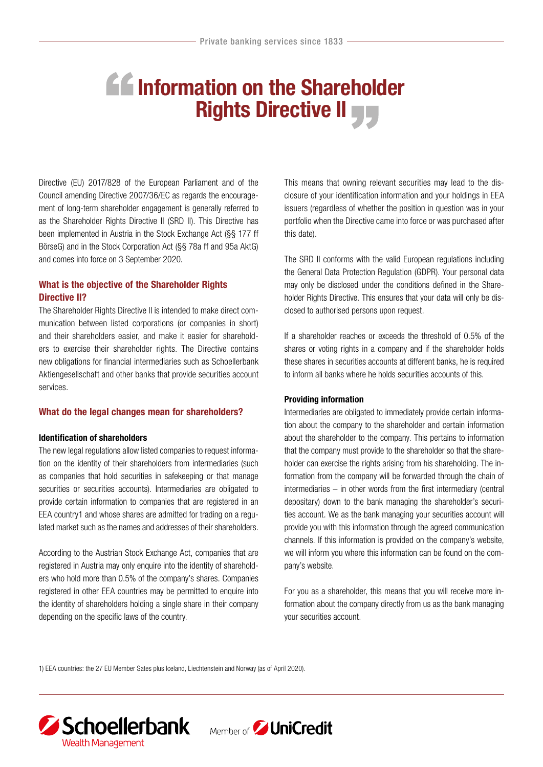# **AG** Information on the Shareholder Rights Directive II

Directive (EU) 2017/828 of the European Parliament and of the Council amending Directive 2007/36/EC as regards the encouragement of long-term shareholder engagement is generally referred to as the Shareholder Rights Directive II (SRD II). This Directive has been implemented in Austria in the Stock Exchange Act (§§ 177 ff BörseG) and in the Stock Corporation Act (§§ 78a ff and 95a AktG) and comes into force on 3 September 2020.

## What is the objective of the Shareholder Rights Directive II?

The Shareholder Rights Directive II is intended to make direct communication between listed corporations (or companies in short) and their shareholders easier, and make it easier for shareholders to exercise their shareholder rights. The Directive contains new obligations for financial intermediaries such as Schoellerbank Aktiengesellschaft and other banks that provide securities account services.

### What do the legal changes mean for shareholders?

#### Identification of shareholders

The new legal regulations allow listed companies to request information on the identity of their shareholders from intermediaries (such as companies that hold securities in safekeeping or that manage securities or securities accounts). Intermediaries are obligated to provide certain information to companies that are registered in an EEA country1 and whose shares are admitted for trading on a regulated market such as the names and addresses of their shareholders.

According to the Austrian Stock Exchange Act, companies that are registered in Austria may only enquire into the identity of shareholders who hold more than 0.5% of the company's shares. Companies registered in other EEA countries may be permitted to enquire into the identity of shareholders holding a single share in their company depending on the specific laws of the country.

This means that owning relevant securities may lead to the disclosure of your identification information and your holdings in EEA issuers (regardless of whether the position in question was in your portfolio when the Directive came into force or was purchased after this date).

The SRD II conforms with the valid European regulations including the General Data Protection Regulation (GDPR). Your personal data may only be disclosed under the conditions defined in the Shareholder Rights Directive. This ensures that your data will only be disclosed to authorised persons upon request.

If a shareholder reaches or exceeds the threshold of 0.5% of the shares or voting rights in a company and if the shareholder holds these shares in securities accounts at different banks, he is required to inform all banks where he holds securities accounts of this.

#### Providing information

Intermediaries are obligated to immediately provide certain information about the company to the shareholder and certain information about the shareholder to the company. This pertains to information that the company must provide to the shareholder so that the shareholder can exercise the rights arising from his shareholding. The information from the company will be forwarded through the chain of intermediaries – in other words from the first intermediary (central depositary) down to the bank managing the shareholder's securities account. We as the bank managing your securities account will provide you with this information through the agreed communication channels. If this information is provided on the company's website, we will inform you where this information can be found on the company's website.

For you as a shareholder, this means that you will receive more information about the company directly from us as the bank managing your securities account.

1) EEA countries: the 27 EU Member Sates plus Iceland, Liechtenstein and Norway (as of April 2020).